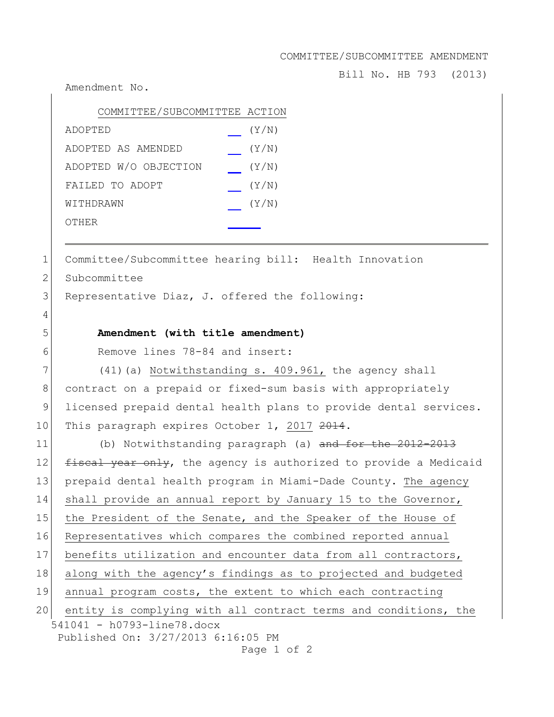COMMITTEE/SUBCOMMITTEE AMENDMENT

Bill No. HB 793 (2013)

Amendment No.

| COMMITTEE/SUBCOMMITTEE ACTION |       |
|-------------------------------|-------|
| ADOPTED                       | (Y/N) |
| ADOPTED AS AMENDED            | (Y/N) |
| ADOPTED W/O OBJECTION         | (Y/N) |
| FAILED TO ADOPT               | (Y/N) |
| WITHDRAWN                     | (Y/N) |
| OTHER                         |       |
|                               |       |

1 Committee/Subcommittee hearing bill: Health Innovation

2 Subcommittee

4

3 Representative Diaz, J. offered the following:

## 5 **Amendment (with title amendment)**

6 Remove lines 78-84 and insert:

 $7$  (41)(a) Notwithstanding s. 409.961, the agency shall 8 contract on a prepaid or fixed-sum basis with appropriately 9 licensed prepaid dental health plans to provide dental services. 10 This paragraph expires October 1, 2017 2014.

541041 - h0793-line78.docx Published On: 3/27/2013 6:16:05 PM 11 (b) Notwithstanding paragraph (a) and for the 2012-2013 12  $f$  fiscal year only, the agency is authorized to provide a Medicaid 13 prepaid dental health program in Miami-Dade County. The agency 14 shall provide an annual report by January 15 to the Governor, 15 the President of the Senate, and the Speaker of the House of 16 Representatives which compares the combined reported annual 17 benefits utilization and encounter data from all contractors, 18 along with the agency's findings as to projected and budgeted 19 annual program costs, the extent to which each contracting 20 entity is complying with all contract terms and conditions, the

Page 1 of 2